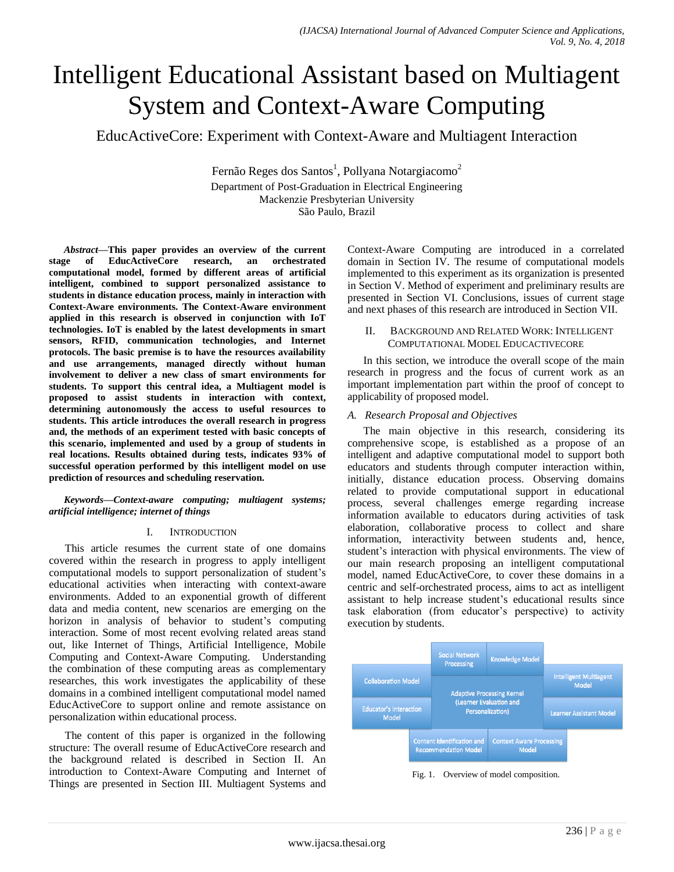# Intelligent Educational Assistant based on Multiagent System and Context-Aware Computing

EducActiveCore: Experiment with Context-Aware and Multiagent Interaction

Fernão Reges dos Santos<sup>1</sup>, Pollyana Notargiacomo<sup>2</sup> Department of Post-Graduation in Electrical Engineering Mackenzie Presbyterian University São Paulo, Brazil

*Abstract***—This paper provides an overview of the current stage of EducActiveCore research, an orchestrated computational model, formed by different areas of artificial intelligent, combined to support personalized assistance to students in distance education process, mainly in interaction with Context-Aware environments. The Context-Aware environment applied in this research is observed in conjunction with IoT technologies. IoT is enabled by the latest developments in smart sensors, RFID, communication technologies, and Internet protocols. The basic premise is to have the resources availability and use arrangements, managed directly without human involvement to deliver a new class of smart environments for students. To support this central idea, a Multiagent model is proposed to assist students in interaction with context, determining autonomously the access to useful resources to students. This article introduces the overall research in progress and, the methods of an experiment tested with basic concepts of this scenario, implemented and used by a group of students in real locations. Results obtained during tests, indicates 93% of successful operation performed by this intelligent model on use prediction of resources and scheduling reservation.**

#### *Keywords—Context-aware computing; multiagent systems; artificial intelligence; internet of things*

#### I. INTRODUCTION

This article resumes the current state of one domains covered within the research in progress to apply intelligent computational models to support personalization of student's educational activities when interacting with context-aware environments. Added to an exponential growth of different data and media content, new scenarios are emerging on the horizon in analysis of behavior to student's computing interaction. Some of most recent evolving related areas stand out, like Internet of Things, Artificial Intelligence, Mobile Computing and Context-Aware Computing. Understanding the combination of these computing areas as complementary researches, this work investigates the applicability of these domains in a combined intelligent computational model named EducActiveCore to support online and remote assistance on personalization within educational process.

The content of this paper is organized in the following structure: The overall resume of EducActiveCore research and the background related is described in Section II. An introduction to Context-Aware Computing and Internet of Things are presented in Section III. Multiagent Systems and Context-Aware Computing are introduced in a correlated domain in Section IV. The resume of computational models implemented to this experiment as its organization is presented in Section V. Method of experiment and preliminary results are presented in Section VI. Conclusions, issues of current stage and next phases of this research are introduced in Section VII.

#### II. BACKGROUND AND RELATED WORK: INTELLIGENT COMPUTATIONAL MODEL EDUCACTIVECORE

In this section, we introduce the overall scope of the main research in progress and the focus of current work as an important implementation part within the proof of concept to applicability of proposed model.

## *A. Research Proposal and Objectives*

The main objective in this research, considering its comprehensive scope, is established as a propose of an intelligent and adaptive computational model to support both educators and students through computer interaction within, initially, distance education process. Observing domains related to provide computational support in educational process, several challenges emerge regarding increase information available to educators during activities of task elaboration, collaborative process to collect and share information, interactivity between students and, hence, student's interaction with physical environments. The view of our main research proposing an intelligent computational model, named EducActiveCore, to cover these domains in a centric and self-orchestrated process, aims to act as intelligent assistant to help increase student's educational results since task elaboration (from educator's perspective) to activity execution by students.



Fig. 1. Overview of model composition.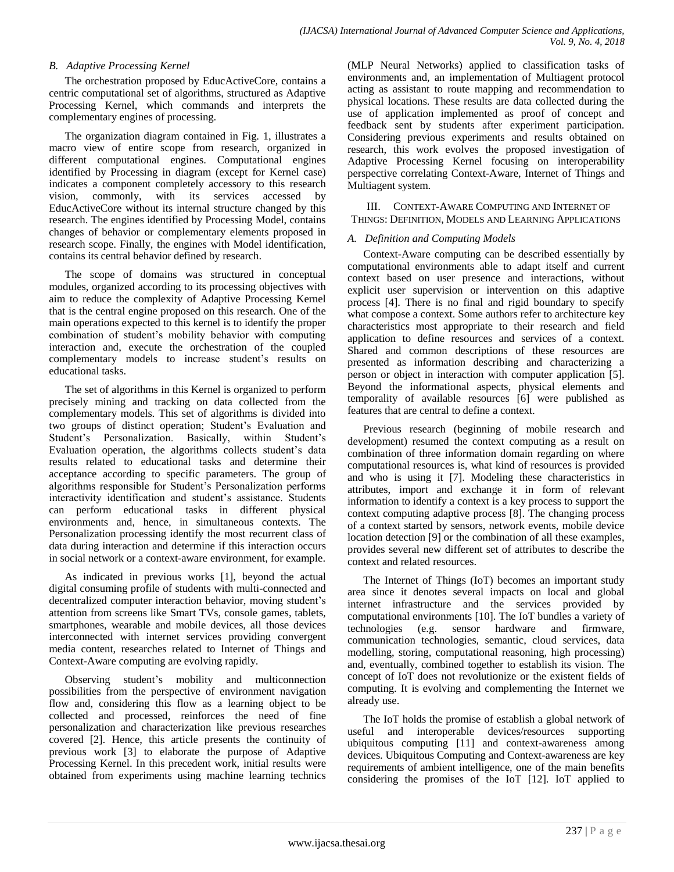#### *B. Adaptive Processing Kernel*

The orchestration proposed by EducActiveCore, contains a centric computational set of algorithms, structured as Adaptive Processing Kernel, which commands and interprets the complementary engines of processing.

The organization diagram contained in Fig. 1, illustrates a macro view of entire scope from research, organized in different computational engines. Computational engines identified by Processing in diagram (except for Kernel case) indicates a component completely accessory to this research vision, commonly, with its services accessed by EducActiveCore without its internal structure changed by this research. The engines identified by Processing Model, contains changes of behavior or complementary elements proposed in research scope. Finally, the engines with Model identification, contains its central behavior defined by research.

The scope of domains was structured in conceptual modules, organized according to its processing objectives with aim to reduce the complexity of Adaptive Processing Kernel that is the central engine proposed on this research. One of the main operations expected to this kernel is to identify the proper combination of student's mobility behavior with computing interaction and, execute the orchestration of the coupled complementary models to increase student's results on educational tasks.

The set of algorithms in this Kernel is organized to perform precisely mining and tracking on data collected from the complementary models. This set of algorithms is divided into two groups of distinct operation; Student's Evaluation and Student's Personalization. Basically, within Student's Evaluation operation, the algorithms collects student's data results related to educational tasks and determine their acceptance according to specific parameters. The group of algorithms responsible for Student's Personalization performs interactivity identification and student's assistance. Students can perform educational tasks in different physical environments and, hence, in simultaneous contexts. The Personalization processing identify the most recurrent class of data during interaction and determine if this interaction occurs in social network or a context-aware environment, for example.

As indicated in previous works [1], beyond the actual digital consuming profile of students with multi-connected and decentralized computer interaction behavior, moving student's attention from screens like Smart TVs, console games, tablets, smartphones, wearable and mobile devices, all those devices interconnected with internet services providing convergent media content, researches related to Internet of Things and Context-Aware computing are evolving rapidly.

Observing student's mobility and multiconnection possibilities from the perspective of environment navigation flow and, considering this flow as a learning object to be collected and processed, reinforces the need of fine personalization and characterization like previous researches covered [2]. Hence, this article presents the continuity of previous work [3] to elaborate the purpose of Adaptive Processing Kernel. In this precedent work, initial results were obtained from experiments using machine learning technics

(MLP Neural Networks) applied to classification tasks of environments and, an implementation of Multiagent protocol acting as assistant to route mapping and recommendation to physical locations. These results are data collected during the use of application implemented as proof of concept and feedback sent by students after experiment participation. Considering previous experiments and results obtained on research, this work evolves the proposed investigation of Adaptive Processing Kernel focusing on interoperability perspective correlating Context-Aware, Internet of Things and Multiagent system.

#### III. CONTEXT-AWARE COMPUTING AND INTERNET OF THINGS: DEFINITION, MODELS AND LEARNING APPLICATIONS

#### *A. Definition and Computing Models*

Context-Aware computing can be described essentially by computational environments able to adapt itself and current context based on user presence and interactions, without explicit user supervision or intervention on this adaptive process [4]. There is no final and rigid boundary to specify what compose a context. Some authors refer to architecture key characteristics most appropriate to their research and field application to define resources and services of a context. Shared and common descriptions of these resources are presented as information describing and characterizing a person or object in interaction with computer application [5]. Beyond the informational aspects, physical elements and temporality of available resources [6] were published as features that are central to define a context.

Previous research (beginning of mobile research and development) resumed the context computing as a result on combination of three information domain regarding on where computational resources is, what kind of resources is provided and who is using it [7]. Modeling these characteristics in attributes, import and exchange it in form of relevant information to identify a context is a key process to support the context computing adaptive process [8]. The changing process of a context started by sensors, network events, mobile device location detection [9] or the combination of all these examples, provides several new different set of attributes to describe the context and related resources.

The Internet of Things (IoT) becomes an important study area since it denotes several impacts on local and global internet infrastructure and the services provided by computational environments [10]. The IoT bundles a variety of technologies (e.g. sensor hardware and firmware, communication technologies, semantic, cloud services, data modelling, storing, computational reasoning, high processing) and, eventually, combined together to establish its vision. The concept of IoT does not revolutionize or the existent fields of computing. It is evolving and complementing the Internet we already use.

The IoT holds the promise of establish a global network of useful and interoperable devices/resources supporting ubiquitous computing [11] and context-awareness among devices. Ubiquitous Computing and Context-awareness are key requirements of ambient intelligence, one of the main benefits considering the promises of the IoT [12]. IoT applied to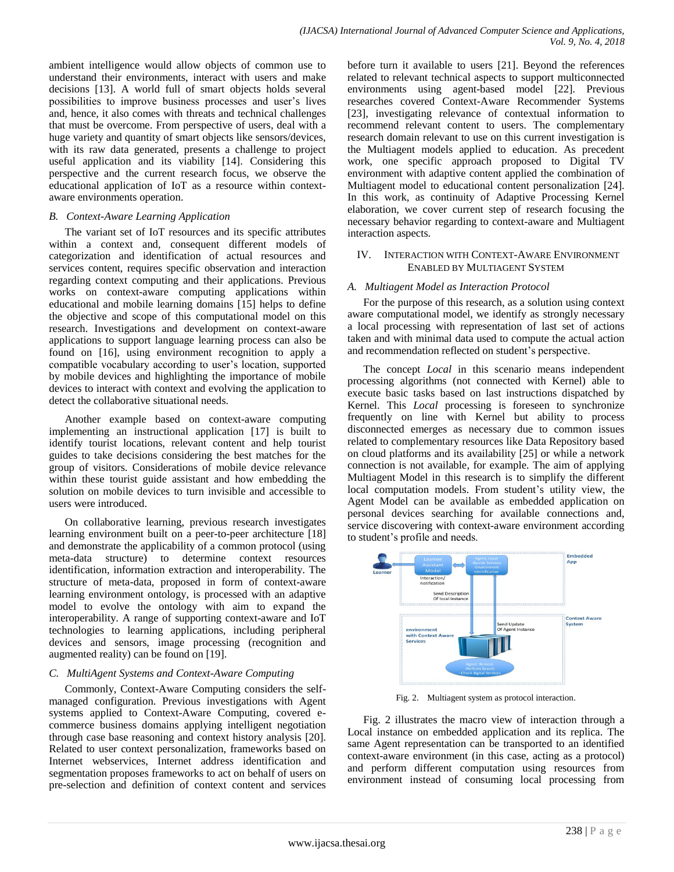ambient intelligence would allow objects of common use to understand their environments, interact with users and make decisions [13]. A world full of smart objects holds several possibilities to improve business processes and user's lives and, hence, it also comes with threats and technical challenges that must be overcome. From perspective of users, deal with a huge variety and quantity of smart objects like sensors/devices, with its raw data generated, presents a challenge to project useful application and its viability [14]. Considering this perspective and the current research focus, we observe the educational application of IoT as a resource within contextaware environments operation.

#### *B. Context-Aware Learning Application*

The variant set of IoT resources and its specific attributes within a context and, consequent different models of categorization and identification of actual resources and services content, requires specific observation and interaction regarding context computing and their applications. Previous works on context-aware computing applications within educational and mobile learning domains [15] helps to define the objective and scope of this computational model on this research. Investigations and development on context-aware applications to support language learning process can also be found on [16], using environment recognition to apply a compatible vocabulary according to user's location, supported by mobile devices and highlighting the importance of mobile devices to interact with context and evolving the application to detect the collaborative situational needs.

Another example based on context-aware computing implementing an instructional application [17] is built to identify tourist locations, relevant content and help tourist guides to take decisions considering the best matches for the group of visitors. Considerations of mobile device relevance within these tourist guide assistant and how embedding the solution on mobile devices to turn invisible and accessible to users were introduced.

On collaborative learning, previous research investigates learning environment built on a peer-to-peer architecture [18] and demonstrate the applicability of a common protocol (using meta-data structure) to determine context resources identification, information extraction and interoperability. The structure of meta-data, proposed in form of context-aware learning environment ontology, is processed with an adaptive model to evolve the ontology with aim to expand the interoperability. A range of supporting context-aware and IoT technologies to learning applications, including peripheral devices and sensors, image processing (recognition and augmented reality) can be found on [19].

## *C. MultiAgent Systems and Context-Aware Computing*

Commonly, Context-Aware Computing considers the selfmanaged configuration. Previous investigations with Agent systems applied to Context-Aware Computing, covered ecommerce business domains applying intelligent negotiation through case base reasoning and context history analysis [20]. Related to user context personalization, frameworks based on Internet webservices, Internet address identification and segmentation proposes frameworks to act on behalf of users on pre-selection and definition of context content and services

before turn it available to users [21]. Beyond the references related to relevant technical aspects to support multiconnected environments using agent-based model [22]. Previous researches covered Context-Aware Recommender Systems [23], investigating relevance of contextual information to recommend relevant content to users. The complementary research domain relevant to use on this current investigation is the Multiagent models applied to education. As precedent work, one specific approach proposed to Digital TV environment with adaptive content applied the combination of Multiagent model to educational content personalization [24]. In this work, as continuity of Adaptive Processing Kernel elaboration, we cover current step of research focusing the necessary behavior regarding to context-aware and Multiagent interaction aspects.

#### IV. INTERACTION WITH CONTEXT-AWARE ENVIRONMENT ENABLED BY MULTIAGENT SYSTEM

#### *A. Multiagent Model as Interaction Protocol*

For the purpose of this research, as a solution using context aware computational model, we identify as strongly necessary a local processing with representation of last set of actions taken and with minimal data used to compute the actual action and recommendation reflected on student's perspective.

The concept *Local* in this scenario means independent processing algorithms (not connected with Kernel) able to execute basic tasks based on last instructions dispatched by Kernel. This *Local* processing is foreseen to synchronize frequently on line with Kernel but ability to process disconnected emerges as necessary due to common issues related to complementary resources like Data Repository based on cloud platforms and its availability [25] or while a network connection is not available, for example. The aim of applying Multiagent Model in this research is to simplify the different local computation models. From student's utility view, the Agent Model can be available as embedded application on personal devices searching for available connections and, service discovering with context-aware environment according to student's profile and needs.



Fig. 2. Multiagent system as protocol interaction.

Fig. 2 illustrates the macro view of interaction through a Local instance on embedded application and its replica. The same Agent representation can be transported to an identified context-aware environment (in this case, acting as a protocol) and perform different computation using resources from environment instead of consuming local processing from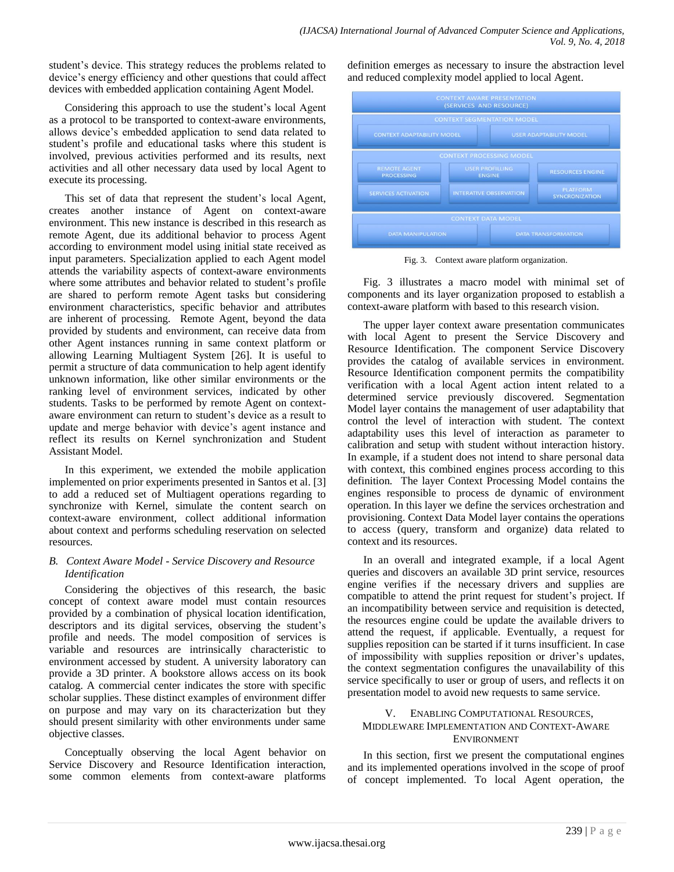student's device. This strategy reduces the problems related to device's energy efficiency and other questions that could affect devices with embedded application containing Agent Model.

Considering this approach to use the student's local Agent as a protocol to be transported to context-aware environments, allows device's embedded application to send data related to student's profile and educational tasks where this student is involved, previous activities performed and its results, next activities and all other necessary data used by local Agent to execute its processing.

This set of data that represent the student's local Agent, creates another instance of Agent on context-aware environment. This new instance is described in this research as remote Agent, due its additional behavior to process Agent according to environment model using initial state received as input parameters. Specialization applied to each Agent model attends the variability aspects of context-aware environments where some attributes and behavior related to student's profile are shared to perform remote Agent tasks but considering environment characteristics, specific behavior and attributes are inherent of processing. Remote Agent, beyond the data provided by students and environment, can receive data from other Agent instances running in same context platform or allowing Learning Multiagent System [26]. It is useful to permit a structure of data communication to help agent identify unknown information, like other similar environments or the ranking level of environment services, indicated by other students. Tasks to be performed by remote Agent on contextaware environment can return to student's device as a result to update and merge behavior with device's agent instance and reflect its results on Kernel synchronization and Student Assistant Model.

In this experiment, we extended the mobile application implemented on prior experiments presented in Santos et al. [3] to add a reduced set of Multiagent operations regarding to synchronize with Kernel, simulate the content search on context-aware environment, collect additional information about context and performs scheduling reservation on selected resources.

## *B. Context Aware Model - Service Discovery and Resource Identification*

Considering the objectives of this research, the basic concept of context aware model must contain resources provided by a combination of physical location identification, descriptors and its digital services, observing the student's profile and needs. The model composition of services is variable and resources are intrinsically characteristic to environment accessed by student. A university laboratory can provide a 3D printer. A bookstore allows access on its book catalog. A commercial center indicates the store with specific scholar supplies. These distinct examples of environment differ on purpose and may vary on its characterization but they should present similarity with other environments under same objective classes.

Conceptually observing the local Agent behavior on Service Discovery and Resource Identification interaction, some common elements from context-aware platforms

definition emerges as necessary to insure the abstraction level and reduced complexity model applied to local Agent.



Fig. 3. Context aware platform organization.

Fig. 3 illustrates a macro model with minimal set of components and its layer organization proposed to establish a context-aware platform with based to this research vision.

The upper layer context aware presentation communicates with local Agent to present the Service Discovery and Resource Identification. The component Service Discovery provides the catalog of available services in environment. Resource Identification component permits the compatibility verification with a local Agent action intent related to a determined service previously discovered. Segmentation Model layer contains the management of user adaptability that control the level of interaction with student. The context adaptability uses this level of interaction as parameter to calibration and setup with student without interaction history. In example, if a student does not intend to share personal data with context, this combined engines process according to this definition. The layer Context Processing Model contains the engines responsible to process de dynamic of environment operation. In this layer we define the services orchestration and provisioning. Context Data Model layer contains the operations to access (query, transform and organize) data related to context and its resources.

In an overall and integrated example, if a local Agent queries and discovers an available 3D print service, resources engine verifies if the necessary drivers and supplies are compatible to attend the print request for student's project. If an incompatibility between service and requisition is detected, the resources engine could be update the available drivers to attend the request, if applicable. Eventually, a request for supplies reposition can be started if it turns insufficient. In case of impossibility with supplies reposition or driver's updates, the context segmentation configures the unavailability of this service specifically to user or group of users, and reflects it on presentation model to avoid new requests to same service.

#### V. ENABLING COMPUTATIONAL RESOURCES, MIDDLEWARE IMPLEMENTATION AND CONTEXT-AWARE ENVIRONMENT

In this section, first we present the computational engines and its implemented operations involved in the scope of proof of concept implemented. To local Agent operation, the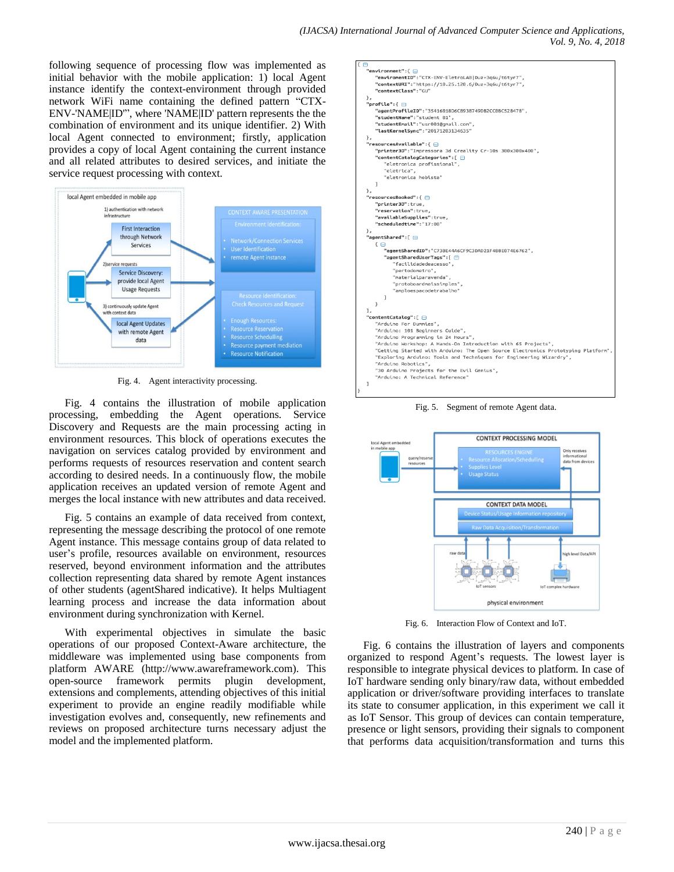following sequence of processing flow was implemented as initial behavior with the mobile application: 1) local Agent instance identify the context-environment through provided network WiFi name containing the defined pattern "CTX-ENV-'NAME|ID'", where 'NAME|ID' pattern represents the the combination of environment and its unique identifier. 2) With local Agent connected to environment; firstly, application provides a copy of local Agent containing the current instance and all related attributes to desired services, and initiate the service request processing with context.



Fig. 4. Agent interactivity processing.

Fig. 4 contains the illustration of mobile application processing, embedding the Agent operations. Service Discovery and Requests are the main processing acting in environment resources. This block of operations executes the navigation on services catalog provided by environment and performs requests of resources reservation and content search according to desired needs. In a continuously flow, the mobile application receives an updated version of remote Agent and merges the local instance with new attributes and data received.

Fig. 5 contains an example of data received from context, representing the message describing the protocol of one remote Agent instance. This message contains group of data related to user's profile, resources available on environment, resources reserved, beyond environment information and the attributes collection representing data shared by remote Agent instances of other students (agentShared indicative). It helps Multiagent learning process and increase the data information about environment during synchronization with Kernel.

With experimental objectives in simulate the basic operations of our proposed Context-Aware architecture, the middleware was implemented using base components from platform AWARE (http://www.awareframework.com). This open-source framework permits plugin development, extensions and complements, attending objectives of this initial experiment to provide an engine readily modifiable while investigation evolves and, consequently, new refinements and reviews on proposed architecture turns necessary adjust the model and the implemented platform.



Fig. 5. Segment of remote Agent data.



Fig. 6. Interaction Flow of Context and IoT.

Fig. 6 contains the illustration of layers and components organized to respond Agent's requests. The lowest layer is responsible to integrate physical devices to platform. In case of IoT hardware sending only binary/raw data, without embedded application or driver/software providing interfaces to translate its state to consumer application, in this experiment we call it as IoT Sensor. This group of devices can contain temperature, presence or light sensors, providing their signals to component that performs data acquisition/transformation and turns this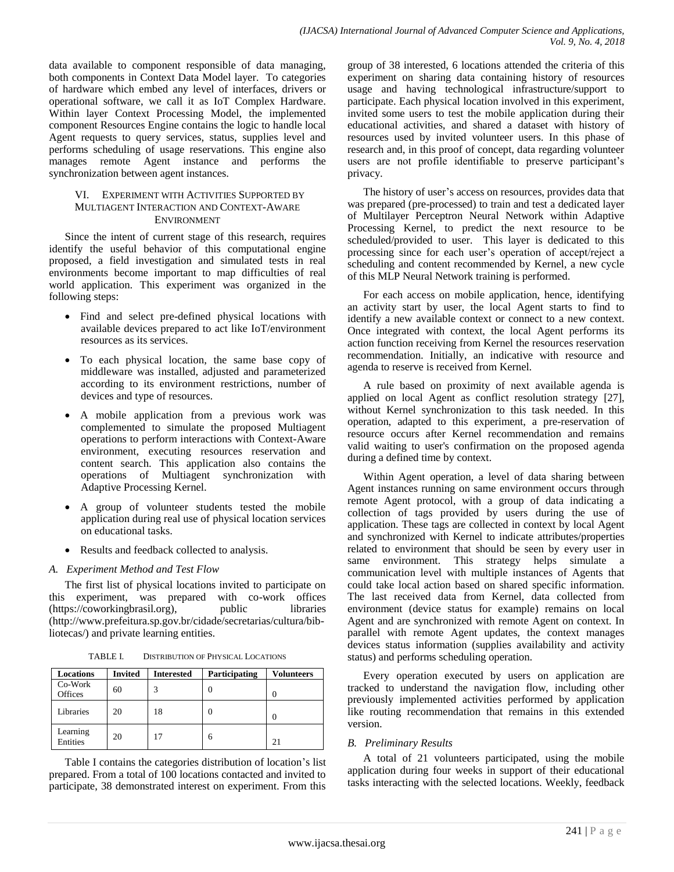data available to component responsible of data managing, both components in Context Data Model layer. To categories of hardware which embed any level of interfaces, drivers or operational software, we call it as IoT Complex Hardware. Within layer Context Processing Model, the implemented component Resources Engine contains the logic to handle local Agent requests to query services, status, supplies level and performs scheduling of usage reservations. This engine also manages remote Agent instance and performs the synchronization between agent instances.

#### VI. EXPERIMENT WITH ACTIVITIES SUPPORTED BY MULTIAGENT INTERACTION AND CONTEXT-AWARE ENVIRONMENT

Since the intent of current stage of this research, requires identify the useful behavior of this computational engine proposed, a field investigation and simulated tests in real environments become important to map difficulties of real world application. This experiment was organized in the following steps:

- Find and select pre-defined physical locations with available devices prepared to act like IoT/environment resources as its services.
- To each physical location, the same base copy of middleware was installed, adjusted and parameterized according to its environment restrictions, number of devices and type of resources.
- A mobile application from a previous work was complemented to simulate the proposed Multiagent operations to perform interactions with Context-Aware environment, executing resources reservation and content search. This application also contains the operations of Multiagent synchronization with Adaptive Processing Kernel.
- A group of volunteer students tested the mobile application during real use of physical location services on educational tasks.
- Results and feedback collected to analysis.

## *A. Experiment Method and Test Flow*

The first list of physical locations invited to participate on this experiment, was prepared with co-work offices (https://coworkingbrasil.org), public libraries (http://www.prefeitura.sp.gov.br/cidade/secretarias/cultura/bibliotecas/) and private learning entities.

| <b>Locations</b>          | <b>Invited</b> | <b>Interested</b> | Participating | <b>Volunteers</b> |
|---------------------------|----------------|-------------------|---------------|-------------------|
| Co-Work<br><b>Offices</b> | 60             | 3                 |               | 0                 |
| Libraries                 | 20             | 18                |               | 0                 |
| Learning<br>Entities      | 20             |                   | 6             | 21                |

TABLE I. DISTRIBUTION OF PHYSICAL LOCATIONS

Table I contains the categories distribution of location's list prepared. From a total of 100 locations contacted and invited to participate, 38 demonstrated interest on experiment. From this group of 38 interested, 6 locations attended the criteria of this experiment on sharing data containing history of resources usage and having technological infrastructure/support to participate. Each physical location involved in this experiment, invited some users to test the mobile application during their educational activities, and shared a dataset with history of resources used by invited volunteer users. In this phase of research and, in this proof of concept, data regarding volunteer users are not profile identifiable to preserve participant's privacy.

The history of user's access on resources, provides data that was prepared (pre-processed) to train and test a dedicated layer of Multilayer Perceptron Neural Network within Adaptive Processing Kernel, to predict the next resource to be scheduled/provided to user. This layer is dedicated to this processing since for each user's operation of accept/reject a scheduling and content recommended by Kernel, a new cycle of this MLP Neural Network training is performed.

For each access on mobile application, hence, identifying an activity start by user, the local Agent starts to find to identify a new available context or connect to a new context. Once integrated with context, the local Agent performs its action function receiving from Kernel the resources reservation recommendation. Initially, an indicative with resource and agenda to reserve is received from Kernel.

A rule based on proximity of next available agenda is applied on local Agent as conflict resolution strategy [27], without Kernel synchronization to this task needed. In this operation, adapted to this experiment, a pre-reservation of resource occurs after Kernel recommendation and remains valid waiting to user's confirmation on the proposed agenda during a defined time by context.

Within Agent operation, a level of data sharing between Agent instances running on same environment occurs through remote Agent protocol, with a group of data indicating a collection of tags provided by users during the use of application. These tags are collected in context by local Agent and synchronized with Kernel to indicate attributes/properties related to environment that should be seen by every user in same environment. This strategy helps simulate a communication level with multiple instances of Agents that could take local action based on shared specific information. The last received data from Kernel, data collected from environment (device status for example) remains on local Agent and are synchronized with remote Agent on context. In parallel with remote Agent updates, the context manages devices status information (supplies availability and activity status) and performs scheduling operation.

Every operation executed by users on application are tracked to understand the navigation flow, including other previously implemented activities performed by application like routing recommendation that remains in this extended version.

## *B. Preliminary Results*

A total of 21 volunteers participated, using the mobile application during four weeks in support of their educational tasks interacting with the selected locations. Weekly, feedback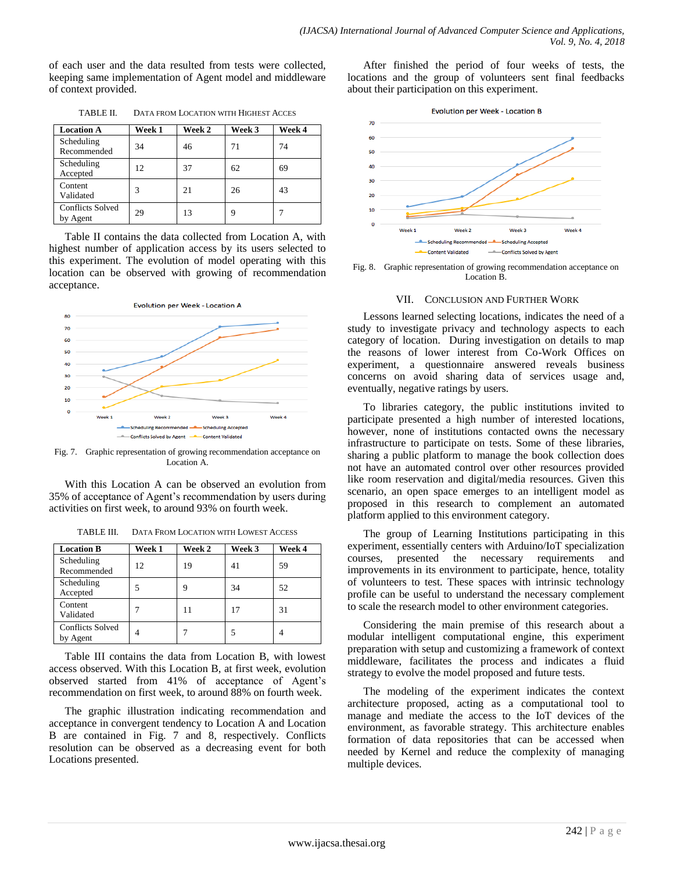of each user and the data resulted from tests were collected, keeping same implementation of Agent model and middleware of context provided.

| <b>Location A</b>                   | Week 1 | Week 2 | Week 3 | Week 4 |
|-------------------------------------|--------|--------|--------|--------|
| Scheduling<br>Recommended           | 34     | 46     | 71     | 74     |
| Scheduling<br>Accepted              | 12     | 37     | 62     | 69     |
| Content<br>Validated                | 3      | 21     | 26     | 43     |
| <b>Conflicts Solved</b><br>by Agent | 29     | 13     | 9      |        |

TABLE II. DATA FROM LOCATION WITH HIGHEST ACCES

Table II contains the data collected from Location A, with highest number of application access by its users selected to this experiment. The evolution of model operating with this location can be observed with growing of recommendation acceptance.



Fig. 7. Graphic representation of growing recommendation acceptance on Location A.

With this Location A can be observed an evolution from 35% of acceptance of Agent's recommendation by users during activities on first week, to around 93% on fourth week.

| <b>Location B</b>                   | Week 1 | Week 2 | Week 3 | Week 4 |
|-------------------------------------|--------|--------|--------|--------|
| Scheduling<br>Recommended           | 12     | 19     | 41     | 59     |
| Scheduling<br>Accepted              |        | 9      | 34     | 52     |
| Content<br>Validated                |        |        | 17     | 31     |
| <b>Conflicts Solved</b><br>by Agent | 4      |        |        |        |

TABLE III. DATA FROM LOCATION WITH LOWEST ACCESS

Table III contains the data from Location B, with lowest access observed. With this Location B, at first week, evolution observed started from 41% of acceptance of Agent's recommendation on first week, to around 88% on fourth week.

The graphic illustration indicating recommendation and acceptance in convergent tendency to Location A and Location B are contained in Fig. 7 and 8, respectively. Conflicts resolution can be observed as a decreasing event for both Locations presented.

After finished the period of four weeks of tests, the locations and the group of volunteers sent final feedbacks about their participation on this experiment.



Fig. 8. Graphic representation of growing recommendation acceptance on Location B.

#### VII. CONCLUSION AND FURTHER WORK

Lessons learned selecting locations, indicates the need of a study to investigate privacy and technology aspects to each category of location. During investigation on details to map the reasons of lower interest from Co-Work Offices on experiment, a questionnaire answered reveals business concerns on avoid sharing data of services usage and, eventually, negative ratings by users.

To libraries category, the public institutions invited to participate presented a high number of interested locations, however, none of institutions contacted owns the necessary infrastructure to participate on tests. Some of these libraries, sharing a public platform to manage the book collection does not have an automated control over other resources provided like room reservation and digital/media resources. Given this scenario, an open space emerges to an intelligent model as proposed in this research to complement an automated platform applied to this environment category.

The group of Learning Institutions participating in this experiment, essentially centers with Arduino/IoT specialization courses, presented the necessary requirements and improvements in its environment to participate, hence, totality of volunteers to test. These spaces with intrinsic technology profile can be useful to understand the necessary complement to scale the research model to other environment categories.

Considering the main premise of this research about a modular intelligent computational engine, this experiment preparation with setup and customizing a framework of context middleware, facilitates the process and indicates a fluid strategy to evolve the model proposed and future tests.

The modeling of the experiment indicates the context architecture proposed, acting as a computational tool to manage and mediate the access to the IoT devices of the environment, as favorable strategy. This architecture enables formation of data repositories that can be accessed when needed by Kernel and reduce the complexity of managing multiple devices.